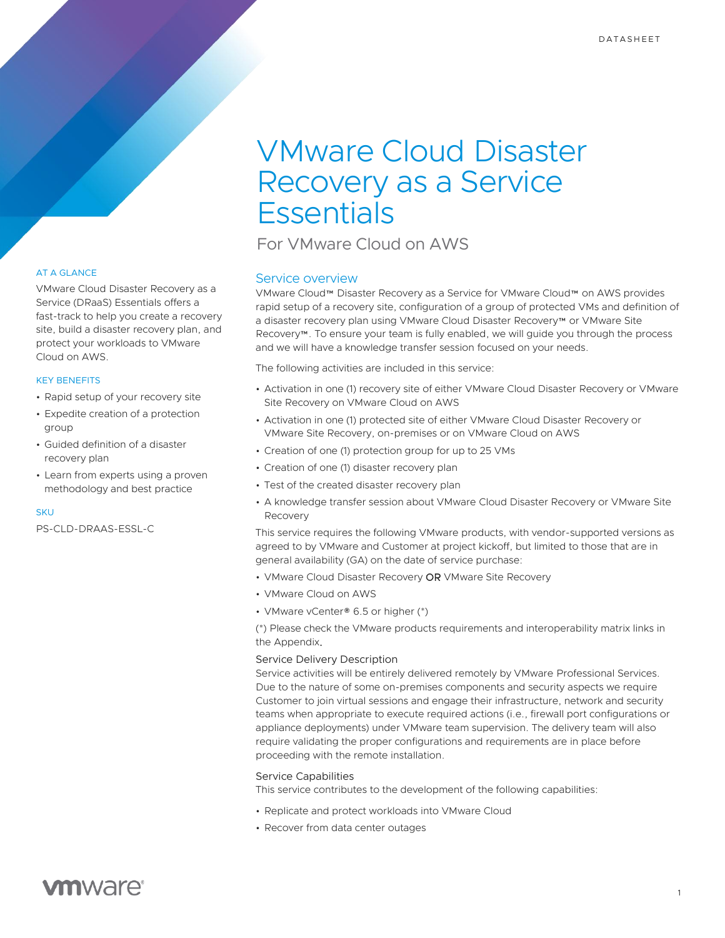# VMware Cloud Disaster Recovery as a Service **Essentials**

For VMware Cloud on AWS

# Service overview

VMware Cloud™ Disaster Recovery as a Service for VMware Cloud™ on AWS provides rapid setup of a recovery site, configuration of a group of protected VMs and definition of a disaster recovery plan using VMware Cloud Disaster Recovery™ or VMware Site Recovery™. To ensure your team is fully enabled, we will guide you through the process and we will have a knowledge transfer session focused on your needs.

The following activities are included in this service:

- Activation in one (1) recovery site of either VMware Cloud Disaster Recovery or VMware Site Recovery on VMware Cloud on AWS
- Activation in one (1) protected site of either VMware Cloud Disaster Recovery or VMware Site Recovery, on-premises or on VMware Cloud on AWS
- Creation of one (1) protection group for up to 25 VMs
- Creation of one (1) disaster recovery plan
- Test of the created disaster recovery plan
- A knowledge transfer session about VMware Cloud Disaster Recovery or VMware Site Recovery

This service requires the following VMware products, with vendor-supported versions as agreed to by VMware and Customer at project kickoff, but limited to those that are in general availability (GA) on the date of service purchase:

- VMware Cloud Disaster Recovery OR VMware Site Recovery
- VMware Cloud on AWS
- VMware vCenter® 6.5 or higher (\*)

(\*) Please check the VMware products requirements and interoperability matrix links in the Appendix.

# Service Delivery Description

Service activities will be entirely delivered remotely by VMware Professional Services. Due to the nature of some on-premises components and security aspects we require Customer to join virtual sessions and engage their infrastructure, network and security teams when appropriate to execute required actions (i.e., firewall port configurations or appliance deployments) under VMware team supervision. The delivery team will also require validating the proper configurations and requirements are in place before proceeding with the remote installation.

### Service Capabilities

This service contributes to the development of the following capabilities:

- Replicate and protect workloads into VMware Cloud
- Recover from data center outages

# AT A GLANCE

VMware Cloud Disaster Recovery as a Service (DRaaS) Essentials offers a fast-track to help you create a recovery site, build a disaster recovery plan, and protect your workloads to VMware Cloud on AWS.

## KEY BENEFITS

- Rapid setup of your recovery site
- Expedite creation of a protection group
- Guided definition of a disaster recovery plan
- Learn from experts using a proven methodology and best practice

#### **SKU**

PS-CLD-DRAAS-ESSL-C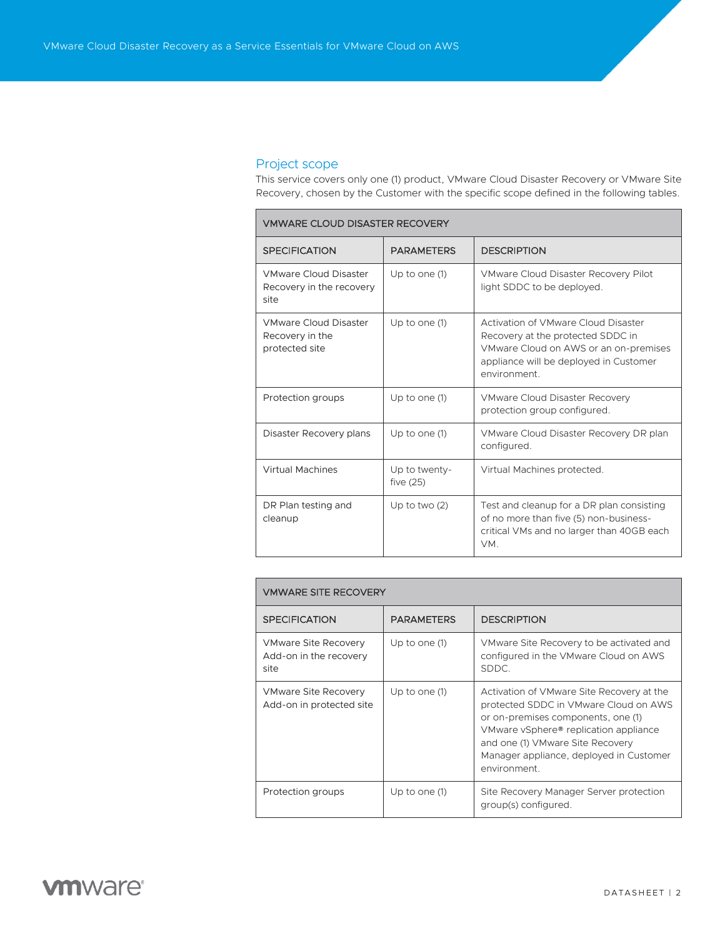# Project scope

**Contract Contract** 

This service covers only one (1) product, VMware Cloud Disaster Recovery or VMware Site Recovery, chosen by the Customer with the specific scope defined in the following tables.

| <b>VMWARE CLOUD DISASTER RECOVERY</b>                             |                              |                                                                                                                                                                             |  |
|-------------------------------------------------------------------|------------------------------|-----------------------------------------------------------------------------------------------------------------------------------------------------------------------------|--|
| <b>SPECIFICATION</b>                                              | <b>PARAMETERS</b>            | <b>DESCRIPTION</b>                                                                                                                                                          |  |
| <b>VMware Cloud Disaster</b><br>Recovery in the recovery<br>site  | Up to one (1)                | VMware Cloud Disaster Recovery Pilot<br>light SDDC to be deployed.                                                                                                          |  |
| <b>VMware Cloud Disaster</b><br>Recovery in the<br>protected site | Up to one (1)                | Activation of VMware Cloud Disaster<br>Recovery at the protected SDDC in<br>VMware Cloud on AWS or an on-premises<br>appliance will be deployed in Customer<br>environment. |  |
| Protection groups                                                 | Up to one (1)                | VMware Cloud Disaster Recovery<br>protection group configured.                                                                                                              |  |
| Disaster Recovery plans                                           | Up to one (1)                | VMware Cloud Disaster Recovery DR plan<br>configured.                                                                                                                       |  |
| <b>Virtual Machines</b>                                           | Up to twenty-<br>five $(25)$ | Virtual Machines protected.                                                                                                                                                 |  |
| DR Plan testing and<br>cleanup                                    | Up to two $(2)$              | Test and cleanup for a DR plan consisting<br>of no more than five (5) non-business-<br>critical VMs and no larger than 40GB each<br>VM.                                     |  |

| <b><i>VMWARE SITE RECOVERY</i></b>                            |                   |                                                                                                                                                                                                                                                                  |  |  |
|---------------------------------------------------------------|-------------------|------------------------------------------------------------------------------------------------------------------------------------------------------------------------------------------------------------------------------------------------------------------|--|--|
| <b>SPECIFICATION</b>                                          | <b>PARAMETERS</b> | <b>DESCRIPTION</b>                                                                                                                                                                                                                                               |  |  |
| <b>VMware Site Recovery</b><br>Add-on in the recovery<br>site | Up to one (1)     | VMware Site Recovery to be activated and<br>configured in the VMware Cloud on AWS<br>SDDC.                                                                                                                                                                       |  |  |
| <b>VMware Site Recovery</b><br>Add-on in protected site       | Up to one (1)     | Activation of VMware Site Recovery at the<br>protected SDDC in VMware Cloud on AWS<br>or on-premises components, one (1)<br>VMware vSphere® replication appliance<br>and one (1) VMware Site Recovery<br>Manager appliance, deployed in Customer<br>environment. |  |  |
| Protection groups                                             | Up to one $(1)$   | Site Recovery Manager Server protection<br>group(s) configured.                                                                                                                                                                                                  |  |  |

# **vm**ware<sup>®</sup>

 $\overline{\phantom{0}}$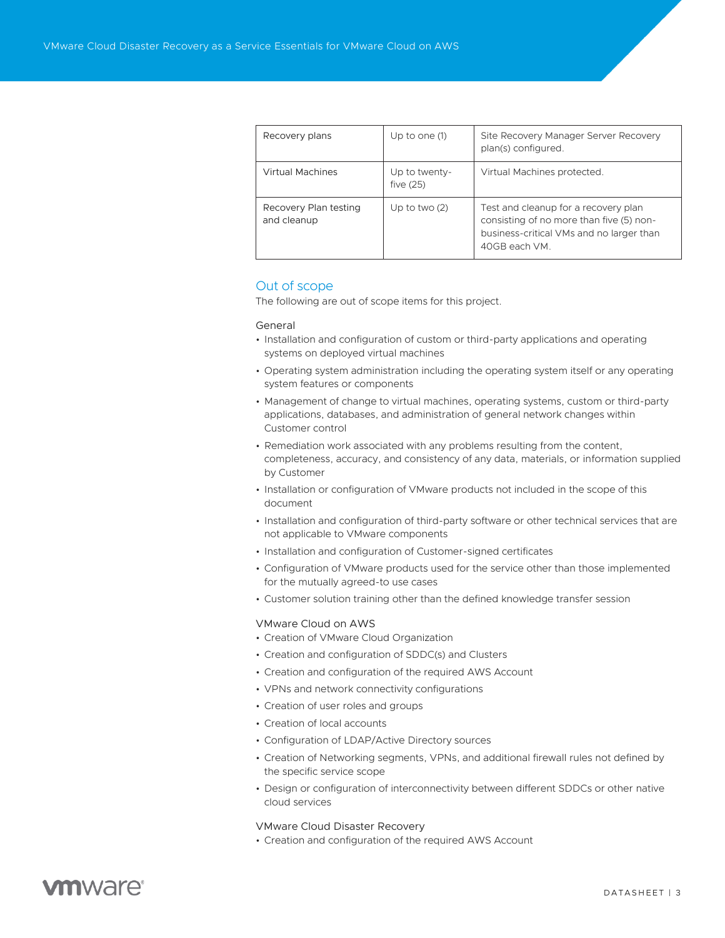| Recovery plans                       | Up to one (1)                | Site Recovery Manager Server Recovery<br>plan(s) configured.                                                                                  |
|--------------------------------------|------------------------------|-----------------------------------------------------------------------------------------------------------------------------------------------|
| <b>Virtual Machines</b>              | Up to twenty-<br>five $(25)$ | Virtual Machines protected.                                                                                                                   |
| Recovery Plan testing<br>and cleanup | Up to two $(2)$              | Test and cleanup for a recovery plan<br>consisting of no more than five (5) non-<br>business-critical VMs and no larger than<br>40GB each VM. |

# Out of scope

The following are out of scope items for this project.

#### General

- Installation and configuration of custom or third-party applications and operating systems on deployed virtual machines
- Operating system administration including the operating system itself or any operating system features or components
- Management of change to virtual machines, operating systems, custom or third-party applications, databases, and administration of general network changes within Customer control
- Remediation work associated with any problems resulting from the content, completeness, accuracy, and consistency of any data, materials, or information supplied by Customer
- Installation or configuration of VMware products not included in the scope of this document
- Installation and configuration of third-party software or other technical services that are not applicable to VMware components
- Installation and configuration of Customer-signed certificates
- Configuration of VMware products used for the service other than those implemented for the mutually agreed-to use cases
- Customer solution training other than the defined knowledge transfer session

#### VMware Cloud on AWS

- Creation of VMware Cloud Organization
- Creation and configuration of SDDC(s) and Clusters
- Creation and configuration of the required AWS Account
- VPNs and network connectivity configurations
- Creation of user roles and groups
- Creation of local accounts
- Configuration of LDAP/Active Directory sources
- Creation of Networking segments, VPNs, and additional firewall rules not defined by the specific service scope
- Design or configuration of interconnectivity between different SDDCs or other native cloud services

#### VMware Cloud Disaster Recovery

• Creation and configuration of the required AWS Account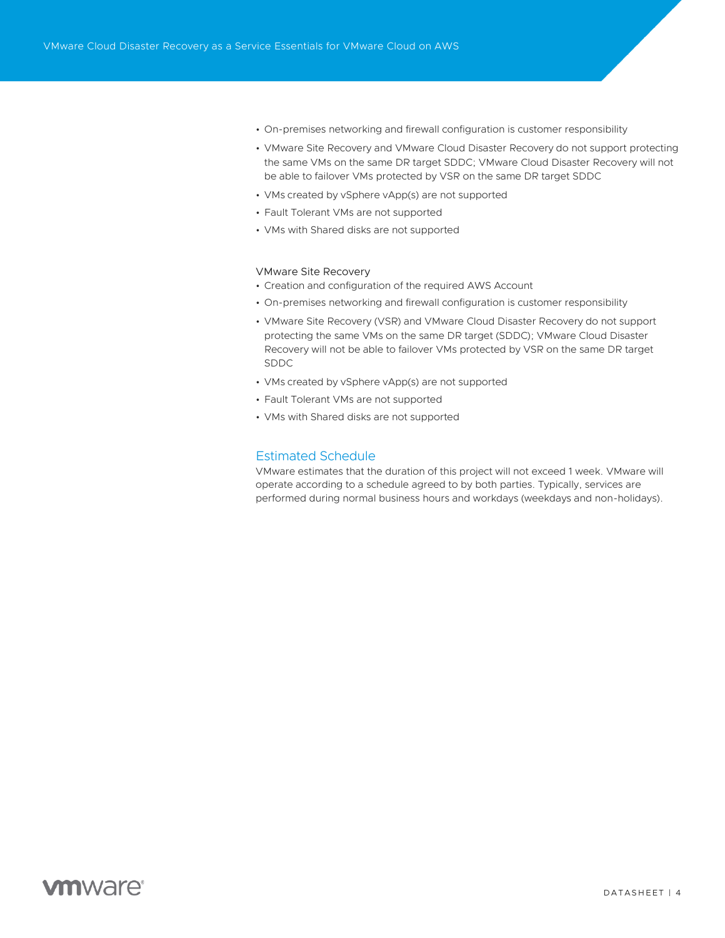- On-premises networking and firewall configuration is customer responsibility
- VMware Site Recovery and VMware Cloud Disaster Recovery do not support protecting the same VMs on the same DR target SDDC; VMware Cloud Disaster Recovery will not be able to failover VMs protected by VSR on the same DR target SDDC
- VMs created by vSphere vApp(s) are not supported
- Fault Tolerant VMs are not supported
- VMs with Shared disks are not supported

### VMware Site Recovery

- Creation and configuration of the required AWS Account
- On-premises networking and firewall configuration is customer responsibility
- VMware Site Recovery (VSR) and VMware Cloud Disaster Recovery do not support protecting the same VMs on the same DR target (SDDC); VMware Cloud Disaster Recovery will not be able to failover VMs protected by VSR on the same DR target SDDC
- VMs created by vSphere vApp(s) are not supported
- Fault Tolerant VMs are not supported
- VMs with Shared disks are not supported

# Estimated Schedule

VMware estimates that the duration of this project will not exceed 1 week. VMware will operate according to a schedule agreed to by both parties. Typically, services are performed during normal business hours and workdays (weekdays and non-holidays).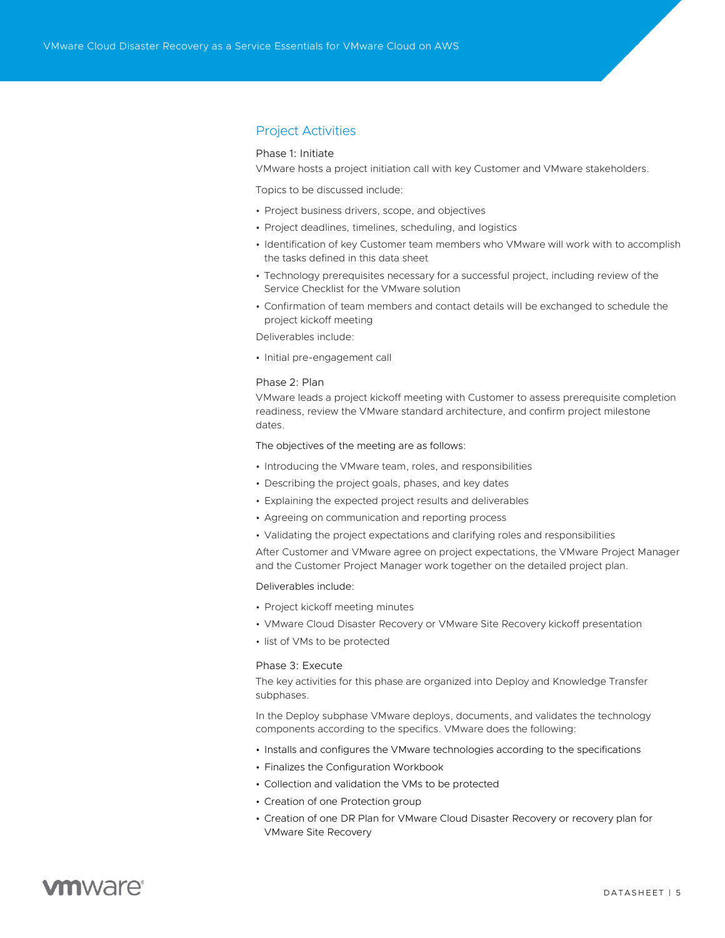# Project Activities

## Phase 1: Initiate

VMware hosts a project initiation call with key Customer and VMware stakeholders.

Topics to be discussed include:

- Project business drivers, scope, and objectives
- Project deadlines, timelines, scheduling, and logistics
- Identification of key Customer team members who VMware will work with to accomplish the tasks defined in this data sheet
- Technology prerequisites necessary for a successful project, including review of the Service Checklist for the VMware solution
- Confirmation of team members and contact details will be exchanged to schedule the project kickoff meeting

Deliverables include:

• Initial pre-engagement call

### Phase 2: Plan

VMware leads a project kickoff meeting with Customer to assess prerequisite completion readiness, review the VMware standard architecture, and confirm project milestone dates.

The objectives of the meeting are as follows:

- Introducing the VMware team, roles, and responsibilities
- Describing the project goals, phases, and key dates
- Explaining the expected project results and deliverables
- Agreeing on communication and reporting process
- Validating the project expectations and clarifying roles and responsibilities

After Customer and VMware agree on project expectations, the VMware Project Manager and the Customer Project Manager work together on the detailed project plan.

Deliverables include:

- Project kickoff meeting minutes
- VMware Cloud Disaster Recovery or VMware Site Recovery kickoff presentation
- list of VMs to be protected

## Phase 3: Execute

The key activities for this phase are organized into Deploy and Knowledge Transfer subphases.

In the Deploy subphase VMware deploys, documents, and validates the technology components according to the specifics. VMware does the following:

- Installs and configures the VMware technologies according to the specifications
- Finalizes the Configuration Workbook
- Collection and validation the VMs to be protected
- Creation of one Protection group
- Creation of one DR Plan for VMware Cloud Disaster Recovery or recovery plan for VMware Site Recovery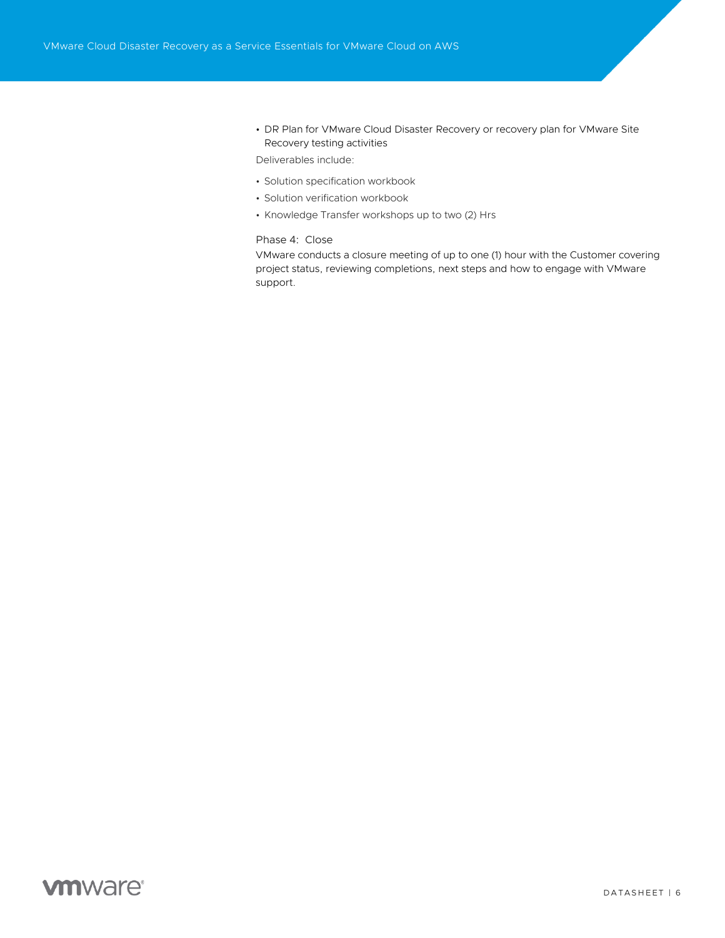• DR Plan for VMware Cloud Disaster Recovery or recovery plan for VMware Site Recovery testing activities

Deliverables include:

- Solution specification workbook
- Solution verification workbook
- Knowledge Transfer workshops up to two (2) Hrs

# Phase 4: Close

VMware conducts a closure meeting of up to one (1) hour with the Customer covering project status, reviewing completions, next steps and how to engage with VMware support.